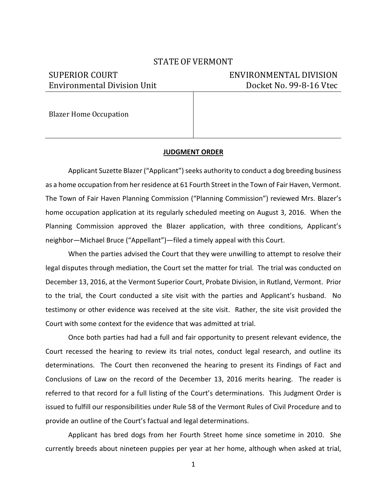### STATE OF VERMONT

# Environmental Division Unit Docket No. 99-8-16 Vtec

## SUPERIOR COURT ENVIRONMENTAL DIVISION

Blazer Home Occupation

### **JUDGMENT ORDER**

Applicant Suzette Blazer ("Applicant") seeks authority to conduct a dog breeding business as a home occupation from her residence at 61 Fourth Street in the Town of Fair Haven, Vermont. The Town of Fair Haven Planning Commission ("Planning Commission") reviewed Mrs. Blazer's home occupation application at its regularly scheduled meeting on August 3, 2016. When the Planning Commission approved the Blazer application, with three conditions, Applicant's neighbor—Michael Bruce ("Appellant")—filed a timely appeal with this Court.

When the parties advised the Court that they were unwilling to attempt to resolve their legal disputes through mediation, the Court set the matter for trial. The trial was conducted on December 13, 2016, at the Vermont Superior Court, Probate Division, in Rutland, Vermont. Prior to the trial, the Court conducted a site visit with the parties and Applicant's husband. No testimony or other evidence was received at the site visit. Rather, the site visit provided the Court with some context for the evidence that was admitted at trial.

Once both parties had had a full and fair opportunity to present relevant evidence, the Court recessed the hearing to review its trial notes, conduct legal research, and outline its determinations. The Court then reconvened the hearing to present its Findings of Fact and Conclusions of Law on the record of the December 13, 2016 merits hearing. The reader is referred to that record for a full listing of the Court's determinations. This Judgment Order is issued to fulfill our responsibilities under Rule 58 of the Vermont Rules of Civil Procedure and to provide an outline of the Court's factual and legal determinations.

Applicant has bred dogs from her Fourth Street home since sometime in 2010. She currently breeds about nineteen puppies per year at her home, although when asked at trial,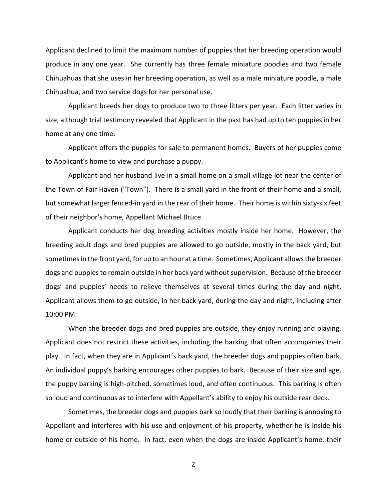Applicant declined to limit the maximum number of puppies that her breeding operation would produce in any one year. She currently has three female miniature poodles and two female Chihuahuas that she uses in her breeding operation, as well as a male miniature poodle, a male Chihuahua, and two service dogs for her personal use.

Applicant breeds her dogs to produce two to three litters per year. Each litter varies in size, although trial testimony revealed that Applicant in the past has had up to ten puppies in her home at any one time.

Applicant offers the puppies for sale to permanent homes. Buyers of her puppies come to Applicant's home to view and purchase a puppy.

Applicant and her husband live in a small home on a small village lot near the center of the Town of Fair Haven ("Town"). There is a small yard in the front of their home and a small, but somewhat larger fenced-in yard in the rear of their home. Their home is within sixty-six feet of their neighbor's home, Appellant Michael Bruce.

Applicant conducts her dog breeding activities mostly inside her home. However, the breeding adult dogs and bred puppies are allowed to go outside, mostly in the back yard, but sometimes in the front yard, for up to an hour at a time. Sometimes, Applicant allows the breeder dogs and puppies to remain outside in her back yard without supervision. Because of the breeder dogs' and puppies' needs to relieve themselves at several times during the day and night, Applicant allows them to go outside, in her back yard, during the day and night, including after 10:00 PM.

When the breeder dogs and bred puppies are outside, they enjoy running and playing. Applicant does not restrict these activities, including the barking that often accompanies their play. In fact, when they are in Applicant's back yard, the breeder dogs and puppies often bark. An individual puppy's barking encourages other puppies to bark. Because of their size and age, the puppy barking is high-pitched, sometimes loud, and often continuous. This barking is often so loud and continuous as to interfere with Appellant's ability to enjoy his outside rear deck.

Sometimes, the breeder dogs and puppies bark so loudly that their barking is annoying to Appellant and interferes with his use and enjoyment of his property, whether he is inside his home or outside of his home. In fact, even when the dogs are inside Applicant's home, their

2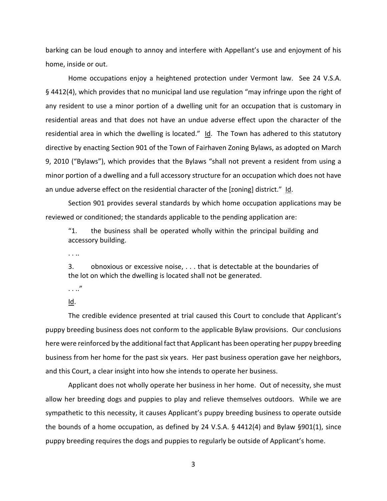barking can be loud enough to annoy and interfere with Appellant's use and enjoyment of his home, inside or out.

Home occupations enjoy a heightened protection under Vermont law. See 24 V.S.A. § 4412(4), which provides that no municipal land use regulation "may infringe upon the right of any resident to use a minor portion of a dwelling unit for an occupation that is customary in residential areas and that does not have an undue adverse effect upon the character of the residential area in which the dwelling is located."  $Id$ . The Town has adhered to this statutory directive by enacting Section 901 of the Town of Fairhaven Zoning Bylaws, as adopted on March 9, 2010 ("Bylaws"), which provides that the Bylaws "shall not prevent a resident from using a minor portion of a dwelling and a full accessory structure for an occupation which does not have an undue adverse effect on the residential character of the [zoning] district."  $Id.$ 

Section 901 provides several standards by which home occupation applications may be reviewed or conditioned; the standards applicable to the pending application are:

"1. the business shall be operated wholly within the principal building and accessory building.

. . ..

3. obnoxious or excessive noise, . . . that is detectable at the boundaries of the lot on which the dwelling is located shall not be generated.

. . .."

#### Id.

The credible evidence presented at trial caused this Court to conclude that Applicant's puppy breeding business does not conform to the applicable Bylaw provisions. Our conclusions here were reinforced by the additional fact that Applicant has been operating her puppy breeding business from her home for the past six years. Her past business operation gave her neighbors, and this Court, a clear insight into how she intends to operate her business.

Applicant does not wholly operate her business in her home. Out of necessity, she must allow her breeding dogs and puppies to play and relieve themselves outdoors. While we are sympathetic to this necessity, it causes Applicant's puppy breeding business to operate outside the bounds of a home occupation, as defined by 24 V.S.A. § 4412(4) and Bylaw §901(1), since puppy breeding requires the dogs and puppies to regularly be outside of Applicant's home.

3